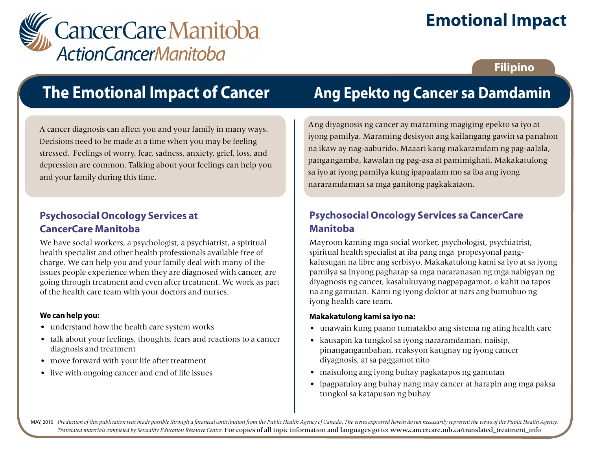

# **Emotional Impact**

### **Filipino**

# **The Emotional Impact of Cancer**

A cancer diagnosis can affect you and your family in many ways. Decisions need to be made at a time when you may be feeling stressed. Feelings of worry, fear, sadness, anxiety, grief, loss, and depression are common. Talking about your feelings can help you and your family during this time.

### **Psychosocial Oncology Services at CancerCare Manitoba**

We have social workers, a psychologist, a psychiatrist, a spiritual health specialist and other health professionals available free of charge. We can help you and your family deal with many of the issues people experience when they are diagnosed with cancer, are going through treatment and even after treatment. We work as part of the health care team with your doctors and nurses.

#### **We can help you:**

- understand how the health care system works
- talk about your feelings, thoughts, fears and reactions to a cancer diagnosis and treatment
- move forward with your life after treatment
- live with ongoing cancer and end of life issues

## **Ang Epekto ng Cancer sa Damdamin**

Ang diyagnosis ng cancer ay maraming magiging epekto sa iyo at iyong pamilya. Maraming desisyon ang kailangang gawin sa panahon na ikaw ay nag-aaburido. Maaari kang makaramdam ng pag-aalala, pangangamba, kawalan ng pag-asa at pamimighati. Makakatulong sa iyo at iyong pamilya kung ipapaalam mo sa iba ang iyong nararamdaman sa mga ganitong pagkakataon.

### **Psychosocial Oncology Services sa CancerCare Manitoba**

Mayroon kaming mga social worker, psychologist, psychiatrist, spiritual health specialist at iba pang mga propesyonal pangkalusugan na libre ang serbisyo. Makakatulong kami sa iyo at sa iyong pamilya sa inyong pagharap sa mga nararanasan ng mga nabigyan ng diyagnosis ng cancer, kasalukuyang nagpapagamot, o kahit na tapos na ang gamutan. Kami ng iyong doktor at nars ang bumubuo ng iyong health care team.

#### **Makakatulong kami sa iyo na:**

- unawain kung paano tumatakbo ang sistema ng ating health care
- kausapin ka tungkol sa iyong nararamdaman, naiisip, pinangangambahan, reaksyon kaugnay ng iyong cancer diyagnosis, at sa paggamot nito
- maisulong ang iyong buhay pagkatapos ng gamutan
- ipagpatuloy ang buhay nang may cancer at harapin ang mga paksa tungkol sa katapusan ng buhay

MAY, 2010 Production of this publication was made possible through a financial contribution from the Public Health Agency of Canada. The views expressed herein do not necessarily represent the views of the Public Health Ag *Translated materials completed by Sexuality Education Resource Centre.* For copies of all topic information and languages go to: www.cancercare.mb.ca/translated\_treatment\_info